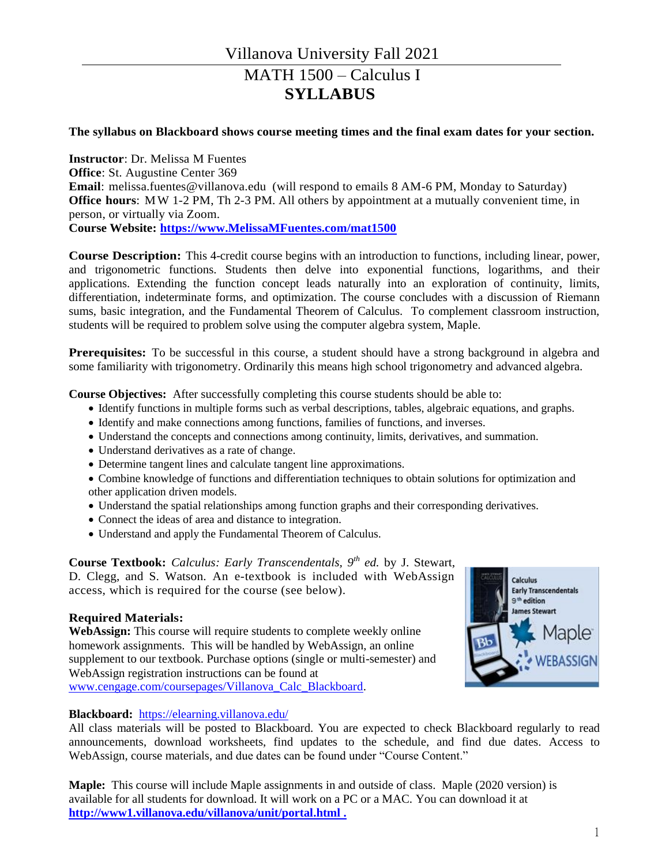#### **The syllabus on Blackboard shows course meeting times and the final exam dates for your section.**

**Instructor**: Dr. Melissa M Fuentes **Office**: St. Augustine Center 369 **Email**: [melissa.fuentes@villanova.edu](mailto:lisandra@math.stonybrook.edu) (will respond to emails 8 AM-6 PM, Monday to Saturday) **Office hours**: MW 1-2 PM, Th 2-3 PM. All others by appointment at a mutually convenient time, in person, or virtually via Zoom. **Course Website: [https://www.MelissaMFuentes.com/mat1500](https://www.melissamfuentes.com/mat1500)**

**Course Description:** This 4-credit course begins with an introduction to functions, including linear, power, and trigonometric functions. Students then delve into exponential functions, logarithms, and their applications. Extending the function concept leads naturally into an exploration of continuity, limits, differentiation, indeterminate forms, and optimization. The course concludes with a discussion of Riemann sums, basic integration, and the Fundamental Theorem of Calculus. To complement classroom instruction, students will be required to problem solve using the computer algebra system, Maple.

**Prerequisites:** To be successful in this course, a student should have a strong background in algebra and some familiarity with trigonometry. Ordinarily this means high school trigonometry and advanced algebra.

**Course Objectives:** After successfully completing this course students should be able to:

- Identify functions in multiple forms such as verbal descriptions, tables, algebraic equations, and graphs.
- Identify and make connections among functions, families of functions, and inverses.
- Understand the concepts and connections among continuity, limits, derivatives, and summation.
- Understand derivatives as a rate of change.
- Determine tangent lines and calculate tangent line approximations.

 Combine knowledge of functions and differentiation techniques to obtain solutions for optimization and other application driven models.

- Understand the spatial relationships among function graphs and their corresponding derivatives.
- Connect the ideas of area and distance to integration.
- Understand and apply the Fundamental Theorem of Calculus.

**Course Textbook:** *Calculus: Early Transcendentals, 9th ed.* by J. Stewart, D. Clegg, and S. Watson. An e-textbook is included with WebAssign access, which is required for the course (see below).

#### **Required Materials:**

**WebAssign:** This course will require students to complete weekly online homework assignments. This will be handled by WebAssign, an online supplement to our textbook. Purchase options (single or multi-semester) and WebAssign registration instructions can be found at [www.cengage.com/coursepages/Villanova\\_Calc\\_Blackboard.](https://www.cengage.com/coursepages/Villanova_Calc_Blackboard)



#### **Blackboard:** <https://elearning.villanova.edu/>

All class materials will be posted to Blackboard. You are expected to check Blackboard regularly to read announcements, download worksheets, find updates to the schedule, and find due dates. Access to WebAssign, course materials, and due dates can be found under "Course Content."

**Maple:** This course will include Maple assignments in and outside of class. Maple (2020 version) is available for all students for download. It will work on a PC or a MAC. You can download it at **<http://www1.villanova.edu/villanova/unit/portal.html> .**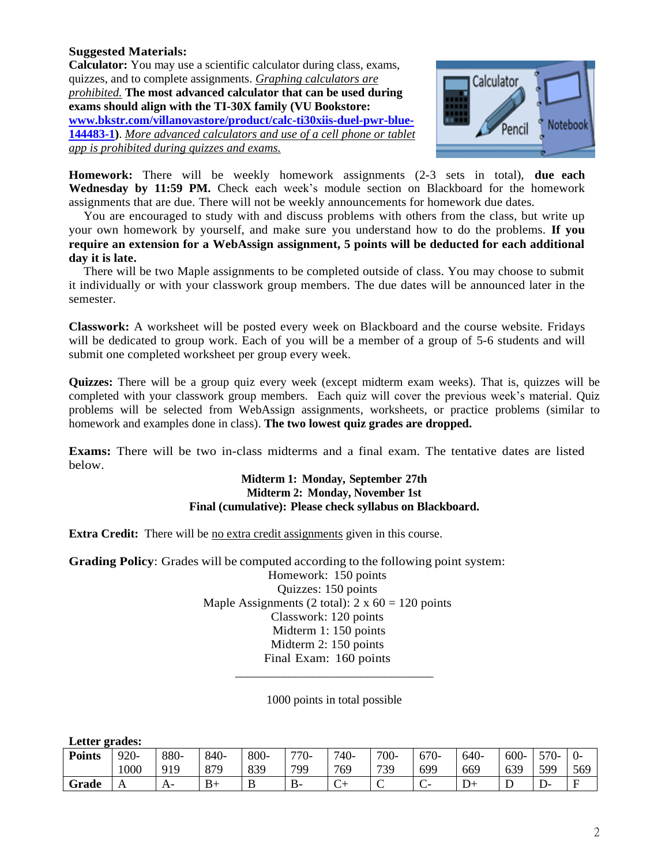### **Suggested Materials:**

**Calculator:** You may use a scientific calculator during class, exams, quizzes, and to complete assignments. *Graphing calculators are prohibited.* **The most advanced calculator that can be used during exams should align with the TI-30X family (VU Bookstore: [www.bkstr.com/villanovastore/product/calc-ti30xiis-duel-pwr-blue-](https://www.bkstr.com/villanovastore/product/calc-ti30xiis-duel-pwr-blue-144483-1)[144483-1\)](https://www.bkstr.com/villanovastore/product/calc-ti30xiis-duel-pwr-blue-144483-1)**. *More advanced calculators and use of a cell phone or tablet app is prohibited during quizzes and exams.*



**Homework:** There will be weekly homework assignments (2-3 sets in total), **due each Wednesday by 11:59 PM.** Check each week's module section on Blackboard for the homework assignments that are due. There will not be weekly announcements for homework due dates.

You are encouraged to study with and discuss problems with others from the class, but write up your own homework by yourself, and make sure you understand how to do the problems. **If you require an extension for a WebAssign assignment, 5 points will be deducted for each additional day it is late.**

There will be two Maple assignments to be completed outside of class. You may choose to submit it individually or with your classwork group members. The due dates will be announced later in the semester.

**Classwork:** A worksheet will be posted every week on Blackboard and the course website. Fridays will be dedicated to group work. Each of you will be a member of a group of 5-6 students and will submit one completed worksheet per group every week.

**Quizzes:** There will be a group quiz every week (except midterm exam weeks). That is, quizzes will be completed with your classwork group members. Each quiz will cover the previous week's material. Quiz problems will be selected from WebAssign assignments, worksheets, or practice problems (similar to homework and examples done in class). **The two lowest quiz grades are dropped.**

**Exams:** There will be two in-class midterms and a final exam. The tentative dates are listed below.

#### **Midterm 1: Monday, September 27th Midterm 2: Monday, November 1st Final (cumulative): Please check syllabus on Blackboard.**

**Extra Credit:** There will be no extra credit assignments given in this course.

**Grading Policy**: Grades will be computed according to the following point system:

Homework: 150 points Quizzes: 150 points Maple Assignments (2 total):  $2 \times 60 = 120$  points Classwork: 120 points Midterm 1: 150 points Midterm 2: 150 points Final Exam: 160 points

1000 points in total possible

\_\_\_\_\_\_\_\_\_\_\_\_\_\_\_\_\_\_\_\_\_\_\_\_\_\_\_\_\_\_\_\_\_

**Letter grades:**

| <b>Points</b> | 920-<br>1000 | 880-<br>919 | 840-<br>879<br>0/2 | 800-<br>839 | 770-<br>799 | 740-<br>769      | $700-$<br>739 | 670-<br>699 | 640-<br>669 | $600 -$<br>639 | $570-$<br>599 | $0-$<br>569 |
|---------------|--------------|-------------|--------------------|-------------|-------------|------------------|---------------|-------------|-------------|----------------|---------------|-------------|
| Grade         | A            | A-          | $B+$               | B           | $B -$       | $\sqrt{ }$<br>J, | $\sim$<br>◡   | $\sim$<br>◡ | $D+$        | ┻              | ື້            | E           |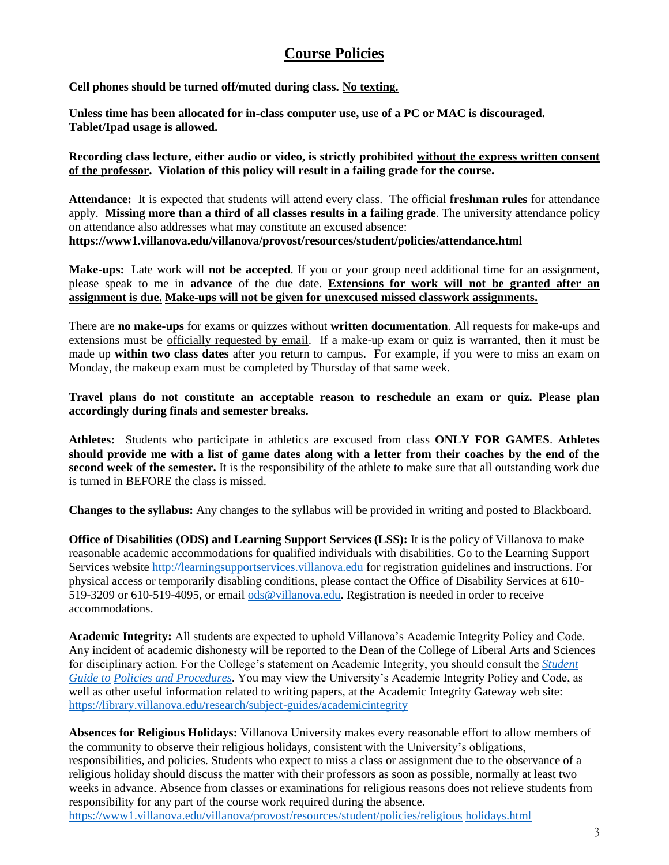## **Course Policies**

**Cell phones should be turned off/muted during class. No texting.**

**Unless time has been allocated for in-class computer use, use of a PC or MAC is discouraged. Tablet/Ipad usage is allowed.**

**Recording class lecture, either audio or video, is strictly prohibited without the express written consent of the professor. Violation of this policy will result in a failing grade for the course.** 

**Attendance:** It is expected that students will attend every class. The official **freshman rules** for attendance apply. **Missing more than a third of all classes results in a failing grade**. The university attendance policy on attendance also addresses what may constitute an excused absence: **https://www1.villanova.edu/villanova/provost/resources/student/policies/attendance.html**

**Make-ups:** Late work will **not be accepted**. If you or your group need additional time for an assignment, please speak to me in **advance** of the due date. **Extensions for work will not be granted after an assignment is due. Make-ups will not be given for unexcused missed classwork assignments.**

There are **no make-ups** for exams or quizzes without **written documentation**. All requests for make-ups and extensions must be officially requested by email. If a make-up exam or quiz is warranted, then it must be made up **within two class dates** after you return to campus. For example, if you were to miss an exam on Monday, the makeup exam must be completed by Thursday of that same week.

**Travel plans do not constitute an acceptable reason to reschedule an exam or quiz. Please plan accordingly during finals and semester breaks.**

**Athletes:** Students who participate in athletics are excused from class **ONLY FOR GAMES**. **Athletes should provide me with a list of game dates along with a letter from their coaches by the end of the second week of the semester.** It is the responsibility of the athlete to make sure that all outstanding work due is turned in BEFORE the class is missed.

**Changes to the syllabus:** Any changes to the syllabus will be provided in writing and posted to Blackboard.

**Office of Disabilities (ODS) and Learning Support Services (LSS):** It is the policy of Villanova to make reasonable academic accommodations for qualified individuals with disabilities. Go to the Learning Support Services website [http://learningsupportservices.villanova.edu](http://learningsupportservices.villanova.edu/) for registration guidelines and instructions. For physical access or temporarily disabling conditions, please contact the Office of Disability Services at 610 519-3209 or 610-519-4095, or emai[l ods@villanova.edu.](mailto:ods@villanova.edu) Registration is needed in order to receive accommodations.

**Academic Integrity:** All students are expected to uphold Villanova's Academic Integrity Policy and Code. Any incident of academic dishonesty will be reported to the Dean of the College of Liberal Arts and Sciences for disciplinary action. For the College's statement on Academic Integrity, you should consult the *[Student](http://www1.villanova.edu/villanova/artsci/undergrad/enchiridion.html)  [Guide to](http://www1.villanova.edu/villanova/artsci/undergrad/enchiridion.html) [Policies and Procedures](http://www1.villanova.edu/villanova/artsci/undergrad/enchiridion.html)*. You may view the University's Academic Integrity Policy and Code, as well as other useful information related to writing papers, at the Academic Integrity Gateway web site: <https://library.villanova.edu/research/subject-guides/academicintegrity>

**Absences for Religious Holidays:** Villanova University makes every reasonable effort to allow members of the community to observe their religious holidays, consistent with the University's obligations, responsibilities, and policies. Students who expect to miss a class or assignment due to the observance of a religious holiday should discuss the matter with their professors as soon as possible, normally at least two weeks in advance. Absence from classes or examinations for religious reasons does not relieve students from responsibility for any part of the course work required during the absence. [https://www1.villanova.edu/villanova/provost/resources/student/policies/religious](https://www1.villanova.edu/villanova/provost/resources/student/policies/religiousholidays.html) [holidays.html](https://www1.villanova.edu/villanova/provost/resources/student/policies/religiousholidays.html)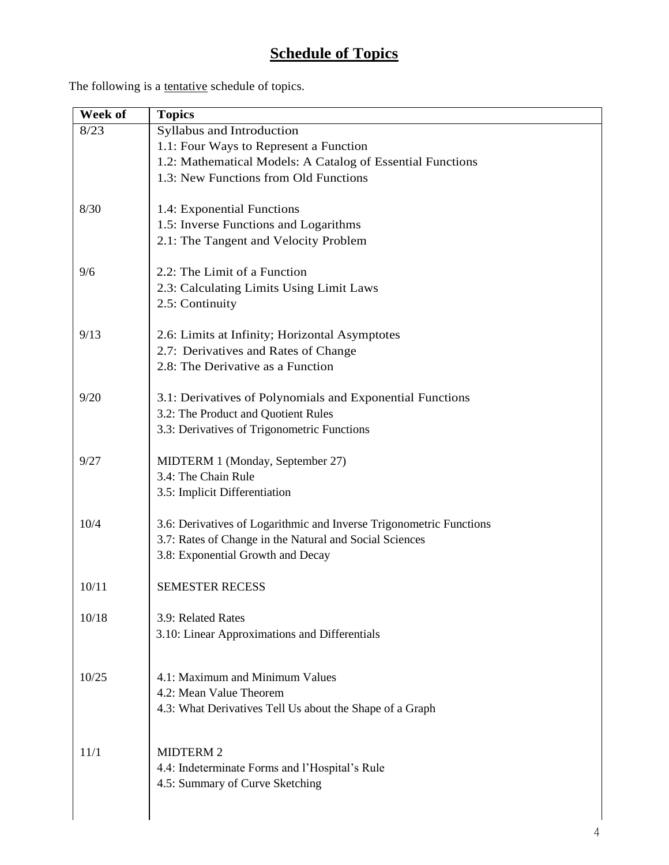# **Schedule of Topics**

The following is a tentative schedule of topics.

| Week of | <b>Topics</b>                                                       |  |  |  |
|---------|---------------------------------------------------------------------|--|--|--|
| 8/23    | Syllabus and Introduction                                           |  |  |  |
|         | 1.1: Four Ways to Represent a Function                              |  |  |  |
|         | 1.2: Mathematical Models: A Catalog of Essential Functions          |  |  |  |
|         | 1.3: New Functions from Old Functions                               |  |  |  |
| 8/30    | 1.4: Exponential Functions                                          |  |  |  |
|         | 1.5: Inverse Functions and Logarithms                               |  |  |  |
|         | 2.1: The Tangent and Velocity Problem                               |  |  |  |
| 9/6     | 2.2: The Limit of a Function                                        |  |  |  |
|         | 2.3: Calculating Limits Using Limit Laws                            |  |  |  |
|         | 2.5: Continuity                                                     |  |  |  |
| 9/13    | 2.6: Limits at Infinity; Horizontal Asymptotes                      |  |  |  |
|         | 2.7: Derivatives and Rates of Change                                |  |  |  |
|         | 2.8: The Derivative as a Function                                   |  |  |  |
| 9/20    | 3.1: Derivatives of Polynomials and Exponential Functions           |  |  |  |
|         | 3.2: The Product and Quotient Rules                                 |  |  |  |
|         | 3.3: Derivatives of Trigonometric Functions                         |  |  |  |
| 9/27    | MIDTERM 1 (Monday, September 27)                                    |  |  |  |
|         | 3.4: The Chain Rule                                                 |  |  |  |
|         | 3.5: Implicit Differentiation                                       |  |  |  |
| 10/4    | 3.6: Derivatives of Logarithmic and Inverse Trigonometric Functions |  |  |  |
|         | 3.7: Rates of Change in the Natural and Social Sciences             |  |  |  |
|         | 3.8: Exponential Growth and Decay                                   |  |  |  |
| 10/11   | <b>SEMESTER RECESS</b>                                              |  |  |  |
|         |                                                                     |  |  |  |
| 10/18   | 3.9: Related Rates                                                  |  |  |  |
|         | 3.10: Linear Approximations and Differentials                       |  |  |  |
| 10/25   | 4.1: Maximum and Minimum Values                                     |  |  |  |
|         | 4.2: Mean Value Theorem                                             |  |  |  |
|         | 4.3: What Derivatives Tell Us about the Shape of a Graph            |  |  |  |
|         |                                                                     |  |  |  |
| 11/1    | <b>MIDTERM 2</b>                                                    |  |  |  |
|         | 4.4: Indeterminate Forms and l'Hospital's Rule                      |  |  |  |
|         | 4.5: Summary of Curve Sketching                                     |  |  |  |
|         |                                                                     |  |  |  |
|         |                                                                     |  |  |  |